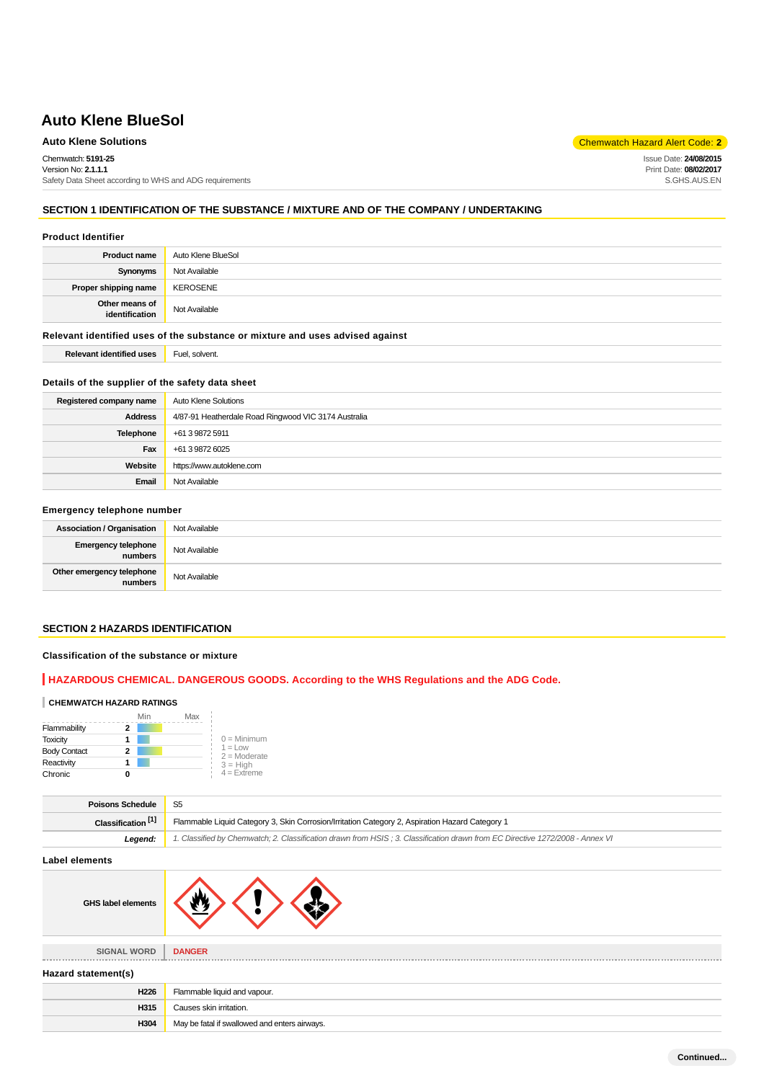## **Auto Klene Solutions** Chemwatch Hazard Alert Code: **2**

Issue Date: **24/08/2015** Print Date: **08/02/2017** S.GHS.AUS.EN

Chemwatch: **5191-25** Version No: **2.1.1.1**

Safety Data Sheet according to WHS and ADG requirements

# **SECTION 1 IDENTIFICATION OF THE SUBSTANCE / MIXTURE AND OF THE COMPANY / UNDERTAKING**

## **Product Identifier**

| <b>Product name</b>                                                           | Auto Klene BlueSol |  |
|-------------------------------------------------------------------------------|--------------------|--|
| Synonyms                                                                      | Not Available      |  |
| Proper shipping name                                                          | <b>KEROSENE</b>    |  |
| Other means of<br>identification                                              | Not Available      |  |
| Relevant identified uses of the substance or mixture and uses advised against |                    |  |
| <b>Relevant identified uses</b>                                               | Fuel, solvent.     |  |

### **Details of the supplier of the safety data sheet**

| Registered company name | Auto Klene Solutions                                 |
|-------------------------|------------------------------------------------------|
| <b>Address</b>          | 4/87-91 Heatherdale Road Ringwood VIC 3174 Australia |
| Telephone               | +61 3 9872 5911                                      |
| Fax                     | +61 3 9872 6025                                      |
| Website                 | https://www.autoklene.com                            |
| Email                   | Not Available                                        |

#### **Emergency telephone number**

| <b>Association / Organisation</b>    | Not Available |
|--------------------------------------|---------------|
| Emergency telephone<br>numbers       | Not Available |
| Other emergency telephone<br>numbers | Not Available |

# **SECTION 2 HAZARDS IDENTIFICATION**

## **Classification of the substance or mixture**

## **HAZARDOUS CHEMICAL. DANGEROUS GOODS. According to the WHS Regulations and the ADG Code.**

#### **CHEMWATCH HAZARD RATINGS**

|                     | Min | Max |                              |
|---------------------|-----|-----|------------------------------|
| Flammability        |     |     |                              |
| <b>Toxicity</b>     |     |     | $0 =$ Minimum                |
| <b>Body Contact</b> | 2   |     | $1 = 1$ ow<br>$2 =$ Moderate |
| Reactivity          |     |     | $3 = High$                   |
| Chronic             |     |     | $4 =$ Extreme                |

| <b>Poisons Schedule</b>       |                                                                                                                               |  |
|-------------------------------|-------------------------------------------------------------------------------------------------------------------------------|--|
| Classification <sup>[1]</sup> | Flammable Liquid Category 3, Skin Corrosion/Irritation Category 2, Aspiration Hazard Category 1                               |  |
| Leaend:                       | 1. Classified by Chemwatch; 2. Classification drawn from HSIS; 3. Classification drawn from EC Directive 1272/2008 - Annex VI |  |

#### **Label elements**

| <b>GHS label elements</b> |  |
|---------------------------|--|
|                           |  |

**SIGNAL WORD DANGER**

## **Hazard statement(s)**

| Flammable liquid and vapour.                  |  |  |
|-----------------------------------------------|--|--|
| Causes skin irritation.                       |  |  |
| May be fatal if swallowed and enters airways. |  |  |
|                                               |  |  |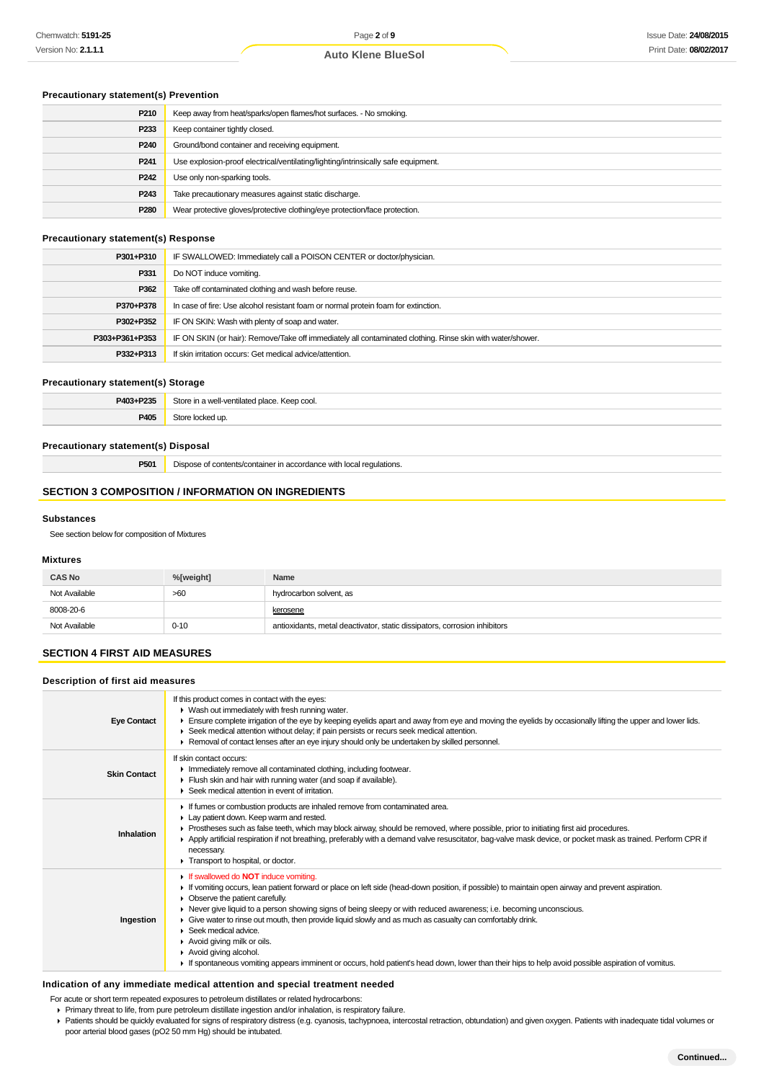## **Precautionary statement(s) Prevention**

| P210             | Keep away from heat/sparks/open flames/hot surfaces. - No smoking.                |
|------------------|-----------------------------------------------------------------------------------|
| P233             | Keep container tightly closed.                                                    |
| P <sub>240</sub> | Ground/bond container and receiving equipment.                                    |
| P <sub>241</sub> | Use explosion-proof electrical/ventilating/lighting/intrinsically safe equipment. |
| P <sub>242</sub> | Use only non-sparking tools.                                                      |
| P <sub>243</sub> | Take precautionary measures against static discharge.                             |
| P <sub>280</sub> | Wear protective gloves/protective clothing/eye protection/face protection.        |

## **Precautionary statement(s) Response**

| P301+P310      | IF SWALLOWED: Immediately call a POISON CENTER or doctor/physician.                                        |  |
|----------------|------------------------------------------------------------------------------------------------------------|--|
| P331           | Do NOT induce vomiting.                                                                                    |  |
| P362           | Take off contaminated clothing and wash before reuse.                                                      |  |
| P370+P378      | In case of fire: Use alcohol resistant foam or normal protein foam for extinction.                         |  |
| P302+P352      | IF ON SKIN: Wash with plenty of soap and water.                                                            |  |
| P303+P361+P353 | IF ON SKIN (or hair): Remove/Take off immediately all contaminated clothing. Rinse skin with water/shower. |  |
| P332+P313      | If skin irritation occurs: Get medical advice/attention.                                                   |  |
|                |                                                                                                            |  |

#### **Precautionary statement(s) Storage**

| P403+P235 | Store in a well-ventilated place. Keep cool. |
|-----------|----------------------------------------------|
| P405      | Store locked up.                             |
|           |                                              |

## **Precautionary statement(s) Disposal**

**P501** Dispose of contents/container in accordance with local regulations.

# **SECTION 3 COMPOSITION / INFORMATION ON INGREDIENTS**

#### **Substances**

See section below for composition of Mixtures

## **Mixtures**

| <b>CAS No</b> | %[weight] | Name                                                                      |
|---------------|-----------|---------------------------------------------------------------------------|
| Not Available | >60       | hydrocarbon solvent, as                                                   |
| 8008-20-6     |           | kerosene                                                                  |
| Not Available | $0 - 10$  | antioxidants, metal deactivator, static dissipators, corrosion inhibitors |

# **SECTION 4 FIRST AID MEASURES**

## **Description of first aid measures**

| <b>Eye Contact</b>  | If this product comes in contact with the eyes:<br>• Wash out immediately with fresh running water.<br>Ensure complete irrigation of the eye by keeping eyelids apart and away from eye and moving the eyelids by occasionally lifting the upper and lower lids.<br>► Seek medical attention without delay; if pain persists or recurs seek medical attention.<br>Removal of contact lenses after an eye injury should only be undertaken by skilled personnel.                                                                                                                                                                                                                                          |
|---------------------|----------------------------------------------------------------------------------------------------------------------------------------------------------------------------------------------------------------------------------------------------------------------------------------------------------------------------------------------------------------------------------------------------------------------------------------------------------------------------------------------------------------------------------------------------------------------------------------------------------------------------------------------------------------------------------------------------------|
| <b>Skin Contact</b> | If skin contact occurs:<br>Inmediately remove all contaminated clothing, including footwear.<br>Flush skin and hair with running water (and soap if available).<br>▶ Seek medical attention in event of irritation.                                                                                                                                                                                                                                                                                                                                                                                                                                                                                      |
| Inhalation          | If fumes or combustion products are inhaled remove from contaminated area.<br>Lay patient down. Keep warm and rested.<br>▶ Prostheses such as false teeth, which may block airway, should be removed, where possible, prior to initiating first aid procedures.<br>▶ Apply artificial respiration if not breathing, preferably with a demand valve resuscitator, bag-valve mask device, or pocket mask as trained. Perform CPR if<br>necessary.<br>Transport to hospital, or doctor.                                                                                                                                                                                                                     |
| Ingestion           | If swallowed do <b>NOT</b> induce vomiting.<br>If vomiting occurs, lean patient forward or place on left side (head-down position, if possible) to maintain open airway and prevent aspiration.<br>Observe the patient carefully.<br>► Never give liquid to a person showing signs of being sleepy or with reduced awareness; i.e. becoming unconscious.<br>Give water to rinse out mouth, then provide liquid slowly and as much as casualty can comfortably drink.<br>Seek medical advice.<br>Avoid giving milk or oils.<br>Avoid giving alcohol.<br>If spontaneous vomiting appears imminent or occurs, hold patient's head down, lower than their hips to help avoid possible aspiration of vomitus. |

#### **Indication of any immediate medical attention and special treatment needed**

For acute or short term repeated exposures to petroleum distillates or related hydrocarbons:

- Primary threat to life, from pure petroleum distillate ingestion and/or inhalation, is respiratory failure.
- Patients should be quickly evaluated for signs of respiratory distress (e.g. cyanosis, tachypnoea, intercostal retraction, obtundation) and given oxygen. Patients with inadequate tidal volumes or poor arterial blood gases (pO2 50 mm Hg) should be intubated.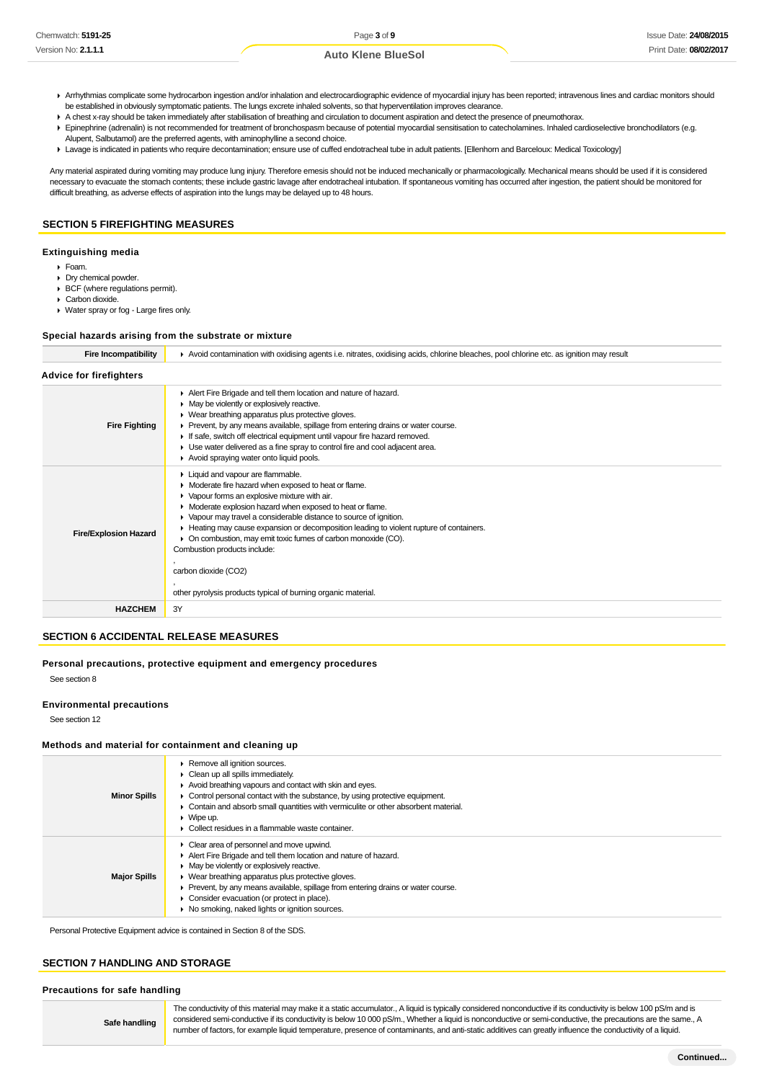- ▶ Arrhythmias complicate some hydrocarbon ingestion and/or inhalation and electrocardiographic evidence of myocardial injury has been reported; intravenous lines and cardiac monitors should be established in obviously symptomatic patients. The lungs excrete inhaled solvents, so that hyperventilation improves clearance.
- A chest x-ray should be taken immediately after stabilisation of breathing and circulation to document aspiration and detect the presence of pneumothorax.
- Epinephrine (adrenalin) is not recommended for treatment of bronchospasm because of potential myocardial sensitisation to catecholamines. Inhaled cardioselective bronchodilators (e.g. Alupent, Salbutamol) are the preferred agents, with aminophylline a second choice.
- Lavage is indicated in patients who require decontamination; ensure use of cuffed endotracheal tube in adult patients. [Ellenhorn and Barceloux: Medical Toxicology]

Any material aspirated during vomiting may produce lung injury. Therefore emesis should not be induced mechanically or pharmacologically. Mechanical means should be used if it is considered necessary to evacuate the stomach contents; these include gastric lavage after endotracheal intubation. If spontaneous vomiting has occurred after ingestion, the patient should be monitored for difficult breathing, as adverse effects of aspiration into the lungs may be delayed up to 48 hours.

### **SECTION 5 FIREFIGHTING MEASURES**

#### **Extinguishing media**

- Foam.
- Dry chemical powder. BCF (where regulations permit).
- Carbon dioxide.
- Water spray or fog Large fires only.

#### **Special hazards arising from the substrate or mixture**

| Fire Incompatibility | ► Avoid contamination with oxidising agents i.e. nitrates, oxidising acids, chlorine bleaches, pool chlorine etc. as ignition may result |
|----------------------|------------------------------------------------------------------------------------------------------------------------------------------|
|                      |                                                                                                                                          |

| <b>Advice for firefighters</b> |                                                                                                                                                                                                                                                                                                                                                                                                                                                                                                                                                                       |
|--------------------------------|-----------------------------------------------------------------------------------------------------------------------------------------------------------------------------------------------------------------------------------------------------------------------------------------------------------------------------------------------------------------------------------------------------------------------------------------------------------------------------------------------------------------------------------------------------------------------|
| <b>Fire Fighting</b>           | Alert Fire Brigade and tell them location and nature of hazard.<br>• May be violently or explosively reactive.<br>▶ Wear breathing apparatus plus protective gloves.<br>► Prevent, by any means available, spillage from entering drains or water course.<br>If safe, switch off electrical equipment until vapour fire hazard removed.<br>• Use water delivered as a fine spray to control fire and cool adjacent area.<br>Avoid spraying water onto liquid pools.                                                                                                   |
| <b>Fire/Explosion Hazard</b>   | Liquid and vapour are flammable.<br>• Moderate fire hazard when exposed to heat or flame.<br>• Vapour forms an explosive mixture with air.<br>• Moderate explosion hazard when exposed to heat or flame.<br>▶ Vapour may travel a considerable distance to source of ignition.<br>► Heating may cause expansion or decomposition leading to violent rupture of containers.<br>• On combustion, may emit toxic fumes of carbon monoxide (CO).<br>Combustion products include:<br>carbon dioxide (CO2)<br>other pyrolysis products typical of burning organic material. |
| <b>HAZCHEM</b>                 | 3Y                                                                                                                                                                                                                                                                                                                                                                                                                                                                                                                                                                    |

#### **SECTION 6 ACCIDENTAL RELEASE MEASURES**

**Personal precautions, protective equipment and emergency procedures**

See section 8

#### **Environmental precautions**

See section 12

#### **Methods and material for containment and cleaning up**

| <b>Minor Spills</b> | Remove all ignition sources.<br>$\triangleright$ Clean up all spills immediately.<br>Avoid breathing vapours and contact with skin and eyes.<br>$\triangleright$ Control personal contact with the substance, by using protective equipment.<br>• Contain and absorb small quantities with vermiculite or other absorbent material.<br>$\triangleright$ Wipe up.<br>Collect residues in a flammable waste container.      |
|---------------------|---------------------------------------------------------------------------------------------------------------------------------------------------------------------------------------------------------------------------------------------------------------------------------------------------------------------------------------------------------------------------------------------------------------------------|
| <b>Major Spills</b> | $\triangleright$ Clear area of personnel and move upwind.<br>Alert Fire Brigade and tell them location and nature of hazard.<br>• May be violently or explosively reactive.<br>▶ Wear breathing apparatus plus protective gloves.<br>• Prevent, by any means available, spillage from entering drains or water course.<br>• Consider evacuation (or protect in place).<br>• No smoking, naked lights or ignition sources. |

Personal Protective Equipment advice is contained in Section 8 of the SDS.

## **SECTION 7 HANDLING AND STORAGE**

### **Precautions for safe handling**

**Safe handling**

The conductivity of this material may make it a static accumulator., A liquid is typically considered nonconductive if its conductivity is below 100 pS/m and is considered semi-conductive if its conductivity is below 10 000 pS/m., Whether a liquid is nonconductive or semi-conductive, the precautions are the same., A number of factors, for example liquid temperature, presence of contaminants, and anti-static additives can greatly influence the conductivity of a liquid.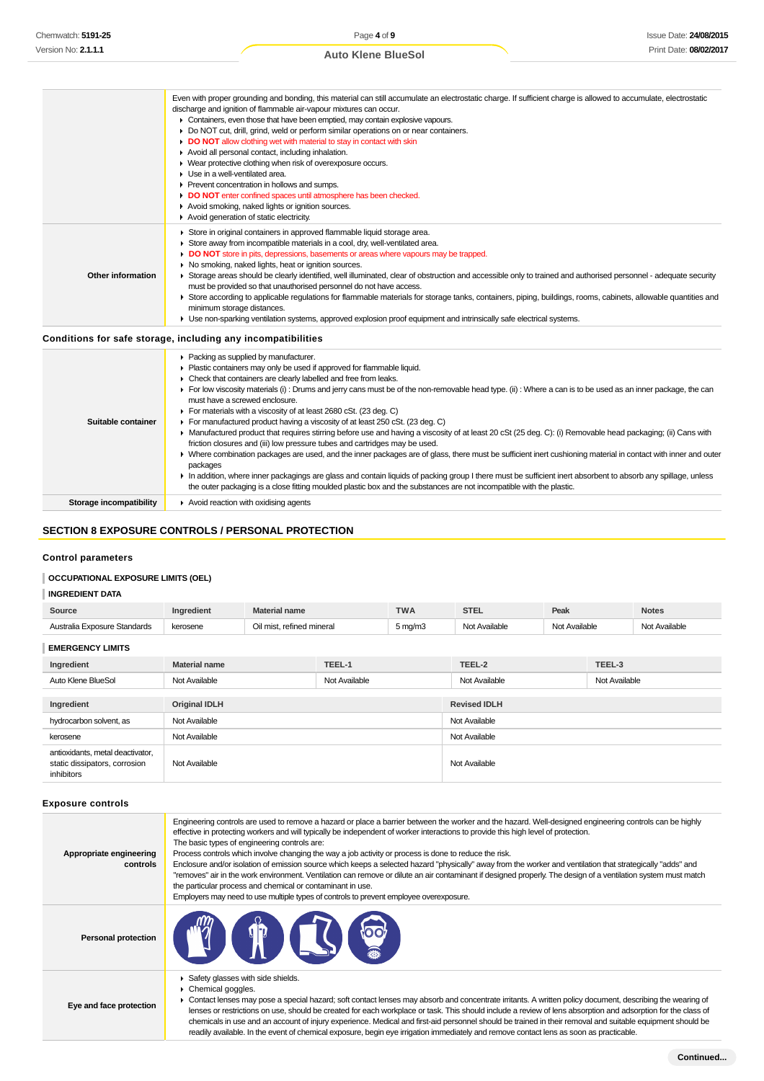|                    | Even with proper grounding and bonding, this material can still accumulate an electrostatic charge. If sufficient charge is allowed to accumulate, electrostatic<br>discharge and ignition of flammable air-vapour mixtures can occur.<br>• Containers, even those that have been emptied, may contain explosive vapours.<br>Do NOT cut, drill, grind, weld or perform similar operations on or near containers.<br>DO NOT allow clothing wet with material to stay in contact with skin<br>Avoid all personal contact, including inhalation.<br>• Wear protective clothing when risk of overexposure occurs.<br>▶ Use in a well-ventilated area.<br>▶ Prevent concentration in hollows and sumps.<br>DO NOT enter confined spaces until atmosphere has been checked.<br>Avoid smoking, naked lights or ignition sources.<br>Avoid generation of static electricity.                                                                                     |
|--------------------|----------------------------------------------------------------------------------------------------------------------------------------------------------------------------------------------------------------------------------------------------------------------------------------------------------------------------------------------------------------------------------------------------------------------------------------------------------------------------------------------------------------------------------------------------------------------------------------------------------------------------------------------------------------------------------------------------------------------------------------------------------------------------------------------------------------------------------------------------------------------------------------------------------------------------------------------------------|
| Other information  | Store in original containers in approved flammable liquid storage area.<br>Store away from incompatible materials in a cool, dry, well-ventilated area.<br>• DO NOT store in pits, depressions, basements or areas where vapours may be trapped.<br>• No smoking, naked lights, heat or ignition sources.<br>> Storage areas should be clearly identified, well illuminated, clear of obstruction and accessible only to trained and authorised personnel - adequate security<br>must be provided so that unauthorised personnel do not have access.<br>▶ Store according to applicable regulations for flammable materials for storage tanks, containers, piping, buildings, rooms, cabinets, allowable quantities and<br>minimum storage distances.<br>• Use non-sparking ventilation systems, approved explosion proof equipment and intrinsically safe electrical systems.                                                                           |
|                    | Conditions for safe storage, including any incompatibilities                                                                                                                                                                                                                                                                                                                                                                                                                                                                                                                                                                                                                                                                                                                                                                                                                                                                                             |
| Suitable container | ▶ Packing as supplied by manufacturer.<br>Plastic containers may only be used if approved for flammable liquid.<br>• Check that containers are clearly labelled and free from leaks.<br>For low viscosity materials (i): Drums and jerry cans must be of the non-removable head type. (ii): Where a can is to be used as an inner package, the can<br>must have a screwed enclosure.<br>For materials with a viscosity of at least 2680 cSt. (23 deg. C)<br>For manufactured product having a viscosity of at least 250 cSt. (23 deg. C)<br>• Manufactured product that requires stirring before use and having a viscosity of at least 20 cSt (25 deg. C): (i) Removable head packaging; (ii) Cans with<br>friction closures and (iii) low pressure tubes and cartridges may be used.<br>> Where combination packages are used, and the inner packages are of glass, there must be sufficient inert cushioning material in contact with inner and outer |

packages In addition, where inner packagings are glass and contain liquids of packing group I there must be sufficient inert absorbent to absorb any spillage, unless

the outer packaging is a close fitting moulded plastic box and the substances are not incompatible with the plastic. **Storage incompatibility Avoid reaction with oxidising agents** 

## **SECTION 8 EXPOSURE CONTROLS / PERSONAL PROTECTION**

#### **Control parameters**

## **OCCUPATIONAL EXPOSURE LIMITS (OEL)**

#### **INGREDIENT DATA**

| Source                                                                          | Ingredient           | <b>Material name</b>      |               | <b>TWA</b>          | <b>STEL</b>         | Peak          |               | <b>Notes</b>  |
|---------------------------------------------------------------------------------|----------------------|---------------------------|---------------|---------------------|---------------------|---------------|---------------|---------------|
| Australia Exposure Standards                                                    | kerosene             | Oil mist, refined mineral |               | $5 \,\mathrm{mg/m}$ | Not Available       | Not Available |               | Not Available |
| <b>EMERGENCY LIMITS</b>                                                         |                      |                           |               |                     |                     |               |               |               |
| Ingredient                                                                      | <b>Material name</b> |                           | TEEL-1        |                     | TEEL-2              |               | TEEL-3        |               |
| Auto Klene BlueSol                                                              | Not Available        |                           | Not Available |                     | Not Available       |               | Not Available |               |
|                                                                                 |                      |                           |               |                     |                     |               |               |               |
| Ingredient                                                                      | <b>Original IDLH</b> |                           |               |                     | <b>Revised IDLH</b> |               |               |               |
| hydrocarbon solvent, as                                                         | Not Available        |                           |               |                     | Not Available       |               |               |               |
| kerosene                                                                        | Not Available        |                           |               |                     | Not Available       |               |               |               |
| antioxidants, metal deactivator,<br>static dissipators, corrosion<br>inhibitors | Not Available        |                           |               |                     | Not Available       |               |               |               |

#### **Exposure controls**

| Appropriate engineering<br>controls | Engineering controls are used to remove a hazard or place a barrier between the worker and the hazard. Well-designed engineering controls can be highly<br>effective in protecting workers and will typically be independent of worker interactions to provide this high level of protection.<br>The basic types of engineering controls are:<br>Process controls which involve changing the way a job activity or process is done to reduce the risk.<br>Enclosure and/or isolation of emission source which keeps a selected hazard "physically" away from the worker and ventilation that strategically "adds" and<br>"removes" air in the work environment. Ventilation can remove or dilute an air contaminant if designed properly. The design of a ventilation system must match<br>the particular process and chemical or contaminant in use.<br>Employers may need to use multiple types of controls to prevent employee overexposure. |
|-------------------------------------|-------------------------------------------------------------------------------------------------------------------------------------------------------------------------------------------------------------------------------------------------------------------------------------------------------------------------------------------------------------------------------------------------------------------------------------------------------------------------------------------------------------------------------------------------------------------------------------------------------------------------------------------------------------------------------------------------------------------------------------------------------------------------------------------------------------------------------------------------------------------------------------------------------------------------------------------------|
| <b>Personal protection</b>          | <b>FILST</b>                                                                                                                                                                                                                                                                                                                                                                                                                                                                                                                                                                                                                                                                                                                                                                                                                                                                                                                                    |
| Eye and face protection             | Safety glasses with side shields.<br>Chemical goggles.<br>► Contact lenses may pose a special hazard; soft contact lenses may absorb and concentrate irritants. A written policy document, describing the wearing of<br>lenses or restrictions on use, should be created for each workplace or task. This should include a review of lens absorption and adsorption for the class of<br>chemicals in use and an account of injury experience. Medical and first-aid personnel should be trained in their removal and suitable equipment should be<br>readily available. In the event of chemical exposure, begin eye irrigation immediately and remove contact lens as soon as practicable.                                                                                                                                                                                                                                                     |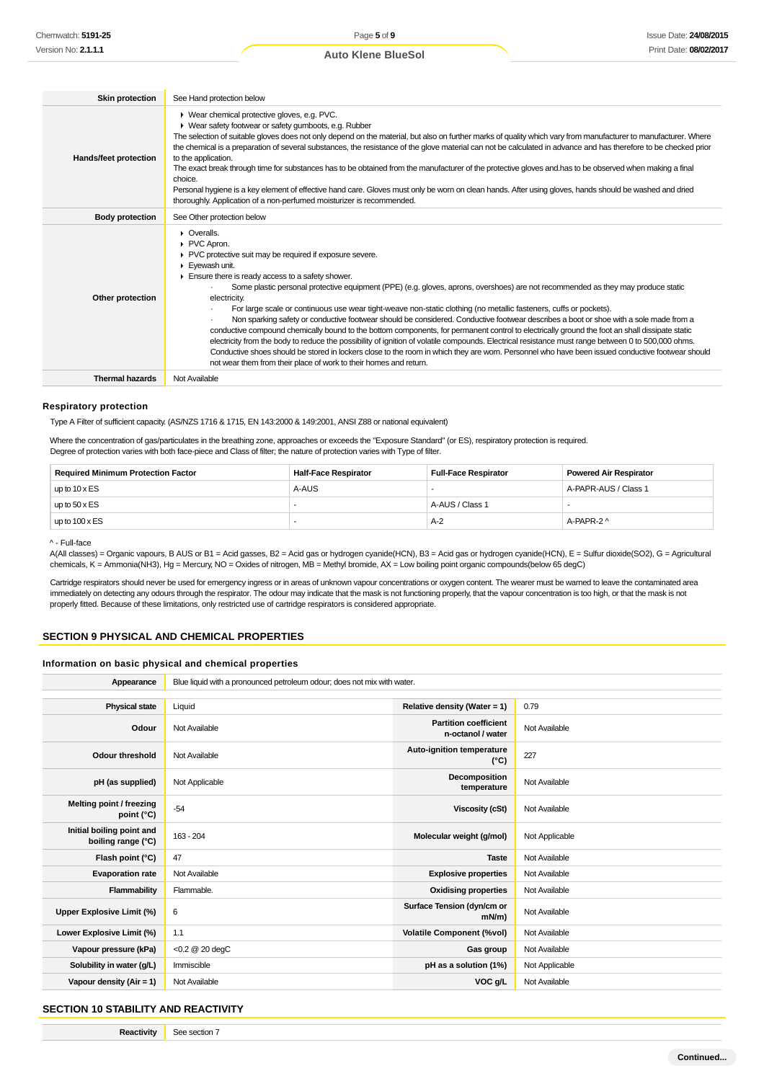| <b>Skin protection</b> | See Hand protection below                                                                                                                                                                                                                                                                                                                                                                                                                                                                                                                                                                                                                                                                                                                                                                                                                                                                                                                                                                                                                                                                                                     |
|------------------------|-------------------------------------------------------------------------------------------------------------------------------------------------------------------------------------------------------------------------------------------------------------------------------------------------------------------------------------------------------------------------------------------------------------------------------------------------------------------------------------------------------------------------------------------------------------------------------------------------------------------------------------------------------------------------------------------------------------------------------------------------------------------------------------------------------------------------------------------------------------------------------------------------------------------------------------------------------------------------------------------------------------------------------------------------------------------------------------------------------------------------------|
| Hands/feet protection  | ▶ Wear chemical protective gloves, e.g. PVC.<br>▶ Wear safety footwear or safety gumboots, e.g. Rubber<br>The selection of suitable gloves does not only depend on the material, but also on further marks of quality which vary from manufacturer to manufacturer. Where<br>the chemical is a preparation of several substances, the resistance of the glove material can not be calculated in advance and has therefore to be checked prior<br>to the application.<br>The exact break through time for substances has to be obtained from the manufacturer of the protective gloves and has to be observed when making a final<br>choice.<br>Personal hygiene is a key element of effective hand care. Gloves must only be worn on clean hands. After using gloves, hands should be washed and dried<br>thoroughly. Application of a non-perfumed moisturizer is recommended.                                                                                                                                                                                                                                               |
| <b>Body protection</b> | See Other protection below                                                                                                                                                                                                                                                                                                                                                                                                                                                                                                                                                                                                                                                                                                                                                                                                                                                                                                                                                                                                                                                                                                    |
| Other protection       | $\triangleright$ Overalls.<br>PVC Apron.<br>▶ PVC protective suit may be required if exposure severe.<br>Eyewash unit.<br>Ensure there is ready access to a safety shower.<br>Some plastic personal protective equipment (PPE) (e.g. gloves, aprons, overshoes) are not recommended as they may produce static<br>electricity.<br>For large scale or continuous use wear tight-weave non-static clothing (no metallic fasteners, cuffs or pockets).<br>Non sparking safety or conductive footwear should be considered. Conductive footwear describes a boot or shoe with a sole made from a<br>conductive compound chemically bound to the bottom components, for permanent control to electrically ground the foot an shall dissipate static<br>electricity from the body to reduce the possibility of ignition of volatile compounds. Electrical resistance must range between 0 to 500,000 ohms.<br>Conductive shoes should be stored in lockers close to the room in which they are worn. Personnel who have been issued conductive footwear should<br>not wear them from their place of work to their homes and return. |
| <b>Thermal hazards</b> | Not Available                                                                                                                                                                                                                                                                                                                                                                                                                                                                                                                                                                                                                                                                                                                                                                                                                                                                                                                                                                                                                                                                                                                 |

#### **Respiratory protection**

Type A Filter of sufficient capacity. (AS/NZS 1716 & 1715, EN 143:2000 & 149:2001, ANSI Z88 or national equivalent)

Where the concentration of gas/particulates in the breathing zone, approaches or exceeds the "Exposure Standard" (or ES), respiratory protection is required. Degree of protection varies with both face-piece and Class of filter; the nature of protection varies with Type of filter.

| <b>Required Minimum Protection Factor</b> | <b>Half-Face Respirator</b> | <b>Full-Face Respirator</b> | <b>Powered Air Respirator</b> |
|-------------------------------------------|-----------------------------|-----------------------------|-------------------------------|
| up to $10 \times ES$                      | A-AUS                       |                             | A-PAPR-AUS / Class 1          |
| up to $50 \times ES$                      |                             | A-AUS / Class 1             |                               |
| up to $100 \times ES$                     |                             | $A-2$                       | A-PAPR-2 ^                    |

^ - Full-face

A(All classes) = Organic vapours, B AUS or B1 = Acid gasses, B2 = Acid gas or hydrogen cyanide(HCN), B3 = Acid gas or hydrogen cyanide(HCN), E = Sulfur dioxide(SO2), G = Agricultural chemicals, K = Ammonia(NH3), Hg = Mercury, NO = Oxides of nitrogen, MB = Methyl bromide, AX = Low boiling point organic compounds(below 65 degC)

Cartridge respirators should never be used for emergency ingress or in areas of unknown vapour concentrations or oxygen content. The wearer must be warned to leave the contaminated area immediately on detecting any odours through the respirator. The odour may indicate that the mask is not functioning properly, that the vapour concentration is too high, or that the mask is not properly fitted. Because of these limitations, only restricted use of cartridge respirators is considered appropriate.

### **SECTION 9 PHYSICAL AND CHEMICAL PROPERTIES**

#### **Information on basic physical and chemical properties**

| Appearance                                      | Blue liquid with a pronounced petroleum odour; does not mix with water. |                                                   |                |  |  |
|-------------------------------------------------|-------------------------------------------------------------------------|---------------------------------------------------|----------------|--|--|
|                                                 |                                                                         |                                                   |                |  |  |
| <b>Physical state</b>                           | Liquid                                                                  | Relative density (Water = 1)                      | 0.79           |  |  |
| Odour                                           | Not Available                                                           | <b>Partition coefficient</b><br>n-octanol / water | Not Available  |  |  |
| <b>Odour threshold</b>                          | Not Available                                                           | Auto-ignition temperature<br>$(^{\circ}C)$        | 227            |  |  |
| pH (as supplied)                                | Not Applicable                                                          | Decomposition<br>temperature                      | Not Available  |  |  |
| Melting point / freezing<br>point (°C)          | $-54$                                                                   | Viscosity (cSt)                                   | Not Available  |  |  |
| Initial boiling point and<br>boiling range (°C) | $163 - 204$                                                             | Molecular weight (g/mol)                          | Not Applicable |  |  |
| Flash point (°C)                                | 47                                                                      | <b>Taste</b>                                      | Not Available  |  |  |
| <b>Evaporation rate</b>                         | Not Available                                                           | <b>Explosive properties</b>                       | Not Available  |  |  |
| Flammability                                    | Flammable.                                                              | <b>Oxidising properties</b>                       | Not Available  |  |  |
| <b>Upper Explosive Limit (%)</b>                | 6                                                                       | Surface Tension (dyn/cm or<br>$mN/m$ )            | Not Available  |  |  |
| Lower Explosive Limit (%)                       | 1.1                                                                     | <b>Volatile Component (%vol)</b>                  | Not Available  |  |  |
| Vapour pressure (kPa)                           | <0.2 @ 20 degC                                                          | Gas group                                         | Not Available  |  |  |
| Solubility in water (g/L)                       | Immiscible                                                              | pH as a solution (1%)                             | Not Applicable |  |  |
| Vapour density (Air = 1)                        | Not Available                                                           | VOC g/L                                           | Not Available  |  |  |

#### **SECTION 10 STABILITY AND REACTIVITY**

**Reactivity** See section 7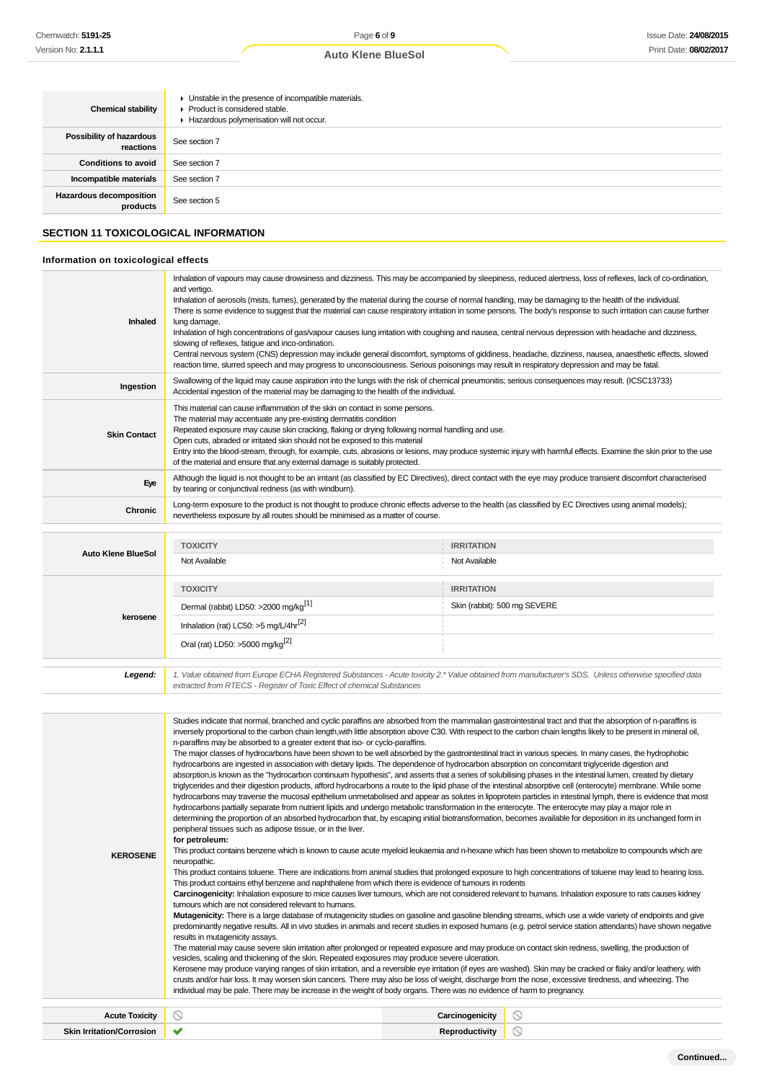| <b>Chemical stability</b>                  | • Unstable in the presence of incompatible materials.<br>▶ Product is considered stable.<br>Hazardous polymerisation will not occur. |
|--------------------------------------------|--------------------------------------------------------------------------------------------------------------------------------------|
| Possibility of hazardous<br>reactions      | See section 7                                                                                                                        |
| <b>Conditions to avoid</b>                 | See section 7                                                                                                                        |
| Incompatible materials                     | See section 7                                                                                                                        |
| <b>Hazardous decomposition</b><br>products | See section 5                                                                                                                        |

## **SECTION 11 TOXICOLOGICAL INFORMATION**

## **Information on toxicological effects**

| Inhaled<br>Ingestion             | Inhalation of vapours may cause drowsiness and dizziness. This may be accompanied by sleepiness, reduced alertness, loss of reflexes, lack of co-ordination,<br>and vertigo.<br>Inhalation of aerosols (mists, fumes), generated by the material during the course of normal handling, may be damaging to the health of the individual.<br>There is some evidence to suggest that the material can cause respiratory irritation in some persons. The body's response to such irritation can cause further<br>lung damage.<br>Inhalation of high concentrations of gas/vapour causes lung irritation with coughing and nausea, central nervous depression with headache and dizziness,<br>slowing of reflexes, fatigue and inco-ordination.<br>Central nervous system (CNS) depression may include general discomfort, symptoms of giddiness, headache, dizziness, nausea, anaesthetic effects, slowed<br>reaction time, slurred speech and may progress to unconsciousness. Serious poisonings may result in respiratory depression and may be fatal.<br>Swallowing of the liquid may cause aspiration into the lungs with the risk of chemical pneumonitis; serious consequences may result. (ICSC13733)<br>Accidental ingestion of the material may be damaging to the health of the individual.<br>This material can cause inflammation of the skin on contact in some persons.                                                                                                                                                                                                                                                                                                                                                                                                                                                                                                                                                                                                                                                                                                                                                                                                                                                                                                                                                                                                                                                                                                                                                                                                                                                                                                                                                                                                                                                                                                                                                                                                                                                                                                                                                                                                                                                                                                                                                                                                                               |                       |                                                                                                                                                                    |  |  |
|----------------------------------|------------------------------------------------------------------------------------------------------------------------------------------------------------------------------------------------------------------------------------------------------------------------------------------------------------------------------------------------------------------------------------------------------------------------------------------------------------------------------------------------------------------------------------------------------------------------------------------------------------------------------------------------------------------------------------------------------------------------------------------------------------------------------------------------------------------------------------------------------------------------------------------------------------------------------------------------------------------------------------------------------------------------------------------------------------------------------------------------------------------------------------------------------------------------------------------------------------------------------------------------------------------------------------------------------------------------------------------------------------------------------------------------------------------------------------------------------------------------------------------------------------------------------------------------------------------------------------------------------------------------------------------------------------------------------------------------------------------------------------------------------------------------------------------------------------------------------------------------------------------------------------------------------------------------------------------------------------------------------------------------------------------------------------------------------------------------------------------------------------------------------------------------------------------------------------------------------------------------------------------------------------------------------------------------------------------------------------------------------------------------------------------------------------------------------------------------------------------------------------------------------------------------------------------------------------------------------------------------------------------------------------------------------------------------------------------------------------------------------------------------------------------------------------------------------------------------------------------------------------------------------------------------------------------------------------------------------------------------------------------------------------------------------------------------------------------------------------------------------------------------------------------------------------------------------------------------------------------------------------------------------------------------------------------------------------------------------------------------------------------------------------------------------------------|-----------------------|--------------------------------------------------------------------------------------------------------------------------------------------------------------------|--|--|
| <b>Skin Contact</b>              | The material may accentuate any pre-existing dermatitis condition<br>Repeated exposure may cause skin cracking, flaking or drying following normal handling and use.<br>Open cuts, abraded or irritated skin should not be exposed to this material<br>of the material and ensure that any external damage is suitably protected.                                                                                                                                                                                                                                                                                                                                                                                                                                                                                                                                                                                                                                                                                                                                                                                                                                                                                                                                                                                                                                                                                                                                                                                                                                                                                                                                                                                                                                                                                                                                                                                                                                                                                                                                                                                                                                                                                                                                                                                                                                                                                                                                                                                                                                                                                                                                                                                                                                                                                                                                                                                                                                                                                                                                                                                                                                                                                                                                                                                                                                                                                |                       | Entry into the blood-stream, through, for example, cuts, abrasions or lesions, may produce systemic injury with harmful effects. Examine the skin prior to the use |  |  |
| Eye                              | Although the liquid is not thought to be an irritant (as classified by EC Directives), direct contact with the eye may produce transient discomfort characterised<br>by tearing or conjunctival redness (as with windburn).                                                                                                                                                                                                                                                                                                                                                                                                                                                                                                                                                                                                                                                                                                                                                                                                                                                                                                                                                                                                                                                                                                                                                                                                                                                                                                                                                                                                                                                                                                                                                                                                                                                                                                                                                                                                                                                                                                                                                                                                                                                                                                                                                                                                                                                                                                                                                                                                                                                                                                                                                                                                                                                                                                                                                                                                                                                                                                                                                                                                                                                                                                                                                                                      |                       |                                                                                                                                                                    |  |  |
| Chronic                          | Long-term exposure to the product is not thought to produce chronic effects adverse to the health (as classified by EC Directives using animal models);<br>nevertheless exposure by all routes should be minimised as a matter of course.                                                                                                                                                                                                                                                                                                                                                                                                                                                                                                                                                                                                                                                                                                                                                                                                                                                                                                                                                                                                                                                                                                                                                                                                                                                                                                                                                                                                                                                                                                                                                                                                                                                                                                                                                                                                                                                                                                                                                                                                                                                                                                                                                                                                                                                                                                                                                                                                                                                                                                                                                                                                                                                                                                                                                                                                                                                                                                                                                                                                                                                                                                                                                                        |                       |                                                                                                                                                                    |  |  |
| <b>Auto Klene BlueSol</b>        | <b>TOXICITY</b>                                                                                                                                                                                                                                                                                                                                                                                                                                                                                                                                                                                                                                                                                                                                                                                                                                                                                                                                                                                                                                                                                                                                                                                                                                                                                                                                                                                                                                                                                                                                                                                                                                                                                                                                                                                                                                                                                                                                                                                                                                                                                                                                                                                                                                                                                                                                                                                                                                                                                                                                                                                                                                                                                                                                                                                                                                                                                                                                                                                                                                                                                                                                                                                                                                                                                                                                                                                                  | <b>IRRITATION</b>     |                                                                                                                                                                    |  |  |
|                                  | Not Available                                                                                                                                                                                                                                                                                                                                                                                                                                                                                                                                                                                                                                                                                                                                                                                                                                                                                                                                                                                                                                                                                                                                                                                                                                                                                                                                                                                                                                                                                                                                                                                                                                                                                                                                                                                                                                                                                                                                                                                                                                                                                                                                                                                                                                                                                                                                                                                                                                                                                                                                                                                                                                                                                                                                                                                                                                                                                                                                                                                                                                                                                                                                                                                                                                                                                                                                                                                                    | Not Available         |                                                                                                                                                                    |  |  |
|                                  | <b>TOXICITY</b>                                                                                                                                                                                                                                                                                                                                                                                                                                                                                                                                                                                                                                                                                                                                                                                                                                                                                                                                                                                                                                                                                                                                                                                                                                                                                                                                                                                                                                                                                                                                                                                                                                                                                                                                                                                                                                                                                                                                                                                                                                                                                                                                                                                                                                                                                                                                                                                                                                                                                                                                                                                                                                                                                                                                                                                                                                                                                                                                                                                                                                                                                                                                                                                                                                                                                                                                                                                                  | <b>IRRITATION</b>     |                                                                                                                                                                    |  |  |
| kerosene                         | Dermal (rabbit) LD50: >2000 mg/kg <sup>[1]</sup>                                                                                                                                                                                                                                                                                                                                                                                                                                                                                                                                                                                                                                                                                                                                                                                                                                                                                                                                                                                                                                                                                                                                                                                                                                                                                                                                                                                                                                                                                                                                                                                                                                                                                                                                                                                                                                                                                                                                                                                                                                                                                                                                                                                                                                                                                                                                                                                                                                                                                                                                                                                                                                                                                                                                                                                                                                                                                                                                                                                                                                                                                                                                                                                                                                                                                                                                                                 |                       | Skin (rabbit): 500 mg SEVERE                                                                                                                                       |  |  |
|                                  | Inhalation (rat) LC50: >5 mg/L/4hr <sup>[2]</sup><br>Oral (rat) LD50: >5000 mg/kg <sup>[2]</sup>                                                                                                                                                                                                                                                                                                                                                                                                                                                                                                                                                                                                                                                                                                                                                                                                                                                                                                                                                                                                                                                                                                                                                                                                                                                                                                                                                                                                                                                                                                                                                                                                                                                                                                                                                                                                                                                                                                                                                                                                                                                                                                                                                                                                                                                                                                                                                                                                                                                                                                                                                                                                                                                                                                                                                                                                                                                                                                                                                                                                                                                                                                                                                                                                                                                                                                                 |                       |                                                                                                                                                                    |  |  |
| Legend:                          | 1. Value obtained from Europe ECHA Registered Substances - Acute toxicity 2.* Value obtained from manufacturer's SDS. Unless otherwise specified data<br>extracted from RTECS - Register of Toxic Effect of chemical Substances                                                                                                                                                                                                                                                                                                                                                                                                                                                                                                                                                                                                                                                                                                                                                                                                                                                                                                                                                                                                                                                                                                                                                                                                                                                                                                                                                                                                                                                                                                                                                                                                                                                                                                                                                                                                                                                                                                                                                                                                                                                                                                                                                                                                                                                                                                                                                                                                                                                                                                                                                                                                                                                                                                                                                                                                                                                                                                                                                                                                                                                                                                                                                                                  |                       |                                                                                                                                                                    |  |  |
|                                  |                                                                                                                                                                                                                                                                                                                                                                                                                                                                                                                                                                                                                                                                                                                                                                                                                                                                                                                                                                                                                                                                                                                                                                                                                                                                                                                                                                                                                                                                                                                                                                                                                                                                                                                                                                                                                                                                                                                                                                                                                                                                                                                                                                                                                                                                                                                                                                                                                                                                                                                                                                                                                                                                                                                                                                                                                                                                                                                                                                                                                                                                                                                                                                                                                                                                                                                                                                                                                  |                       |                                                                                                                                                                    |  |  |
| <b>KEROSENE</b>                  | Studies indicate that normal, branched and cyclic paraffins are absorbed from the mammalian gastrointestinal tract and that the absorption of n-paraffins is<br>inversely proportional to the carbon chain length, with little absorption above C30. With respect to the carbon chain lengths likely to be present in mineral oil,<br>n-paraffins may be absorbed to a greater extent that iso- or cyclo-paraffins.<br>The major classes of hydrocarbons have been shown to be well absorbed by the gastrointestinal tract in various species. In many cases, the hydrophobic<br>hydrocarbons are ingested in association with dietary lipids. The dependence of hydrocarbon absorption on concomitant triglyceride digestion and<br>absorption, is known as the "hydrocarbon continuum hypothesis", and asserts that a series of solubilising phases in the intestinal lumen, created by dietary<br>triglycerides and their digestion products, afford hydrocarbons a route to the lipid phase of the intestinal absorptive cell (enterocyte) membrane. While some<br>hydrocarbons may traverse the mucosal epithelium unmetabolised and appear as solutes in lipoprotein particles in intestinal lymph, there is evidence that most<br>hydrocarbons partially separate from nutrient lipids and undergo metabolic transformation in the enterocyte. The enterocyte may play a major role in<br>determining the proportion of an absorbed hydrocarbon that, by escaping initial biotransformation, becomes available for deposition in its unchanged form in<br>peripheral tissues such as adipose tissue, or in the liver.<br>for petroleum:<br>This product contains benzene which is known to cause acute myeloid leukaemia and n-hexane which has been shown to metabolize to compounds which are<br>neuropathic.<br>This product contains toluene. There are indications from animal studies that prolonged exposure to high concentrations of toluene may lead to hearing loss.<br>This product contains ethyl benzene and naphthalene from which there is evidence of tumours in rodents<br>Carcinogenicity: Inhalation exposure to mice causes liver tumours, which are not considered relevant to humans. Inhalation exposure to rats causes kidney<br>tumours which are not considered relevant to humans.<br>Mutagenicity: There is a large database of mutagenicity studies on gasoline and gasoline blending streams, which use a wide variety of endpoints and give<br>predominantly negative results. All in vivo studies in animals and recent studies in exposed humans (e.g. petrol service station attendants) have shown negative<br>results in mutagenicity assays.<br>The material may cause severe skin irritation after prolonged or repeated exposure and may produce on contact skin redness, swelling, the production of<br>vesicles, scaling and thickening of the skin. Repeated exposures may produce severe ulceration.<br>Kerosene may produce varying ranges of skin irritation, and a reversible eye irritation (if eyes are washed). Skin may be cracked or flaky and/or leathery, with<br>crusts and/or hair loss. It may worsen skin cancers. There may also be loss of weight, discharge from the nose, excessive tiredness, and wheezing. The<br>individual may be pale. There may be increase in the weight of body organs. There was no evidence of harm to pregnancy. |                       |                                                                                                                                                                    |  |  |
| <b>Acute Toxicity</b>            | $\circ$                                                                                                                                                                                                                                                                                                                                                                                                                                                                                                                                                                                                                                                                                                                                                                                                                                                                                                                                                                                                                                                                                                                                                                                                                                                                                                                                                                                                                                                                                                                                                                                                                                                                                                                                                                                                                                                                                                                                                                                                                                                                                                                                                                                                                                                                                                                                                                                                                                                                                                                                                                                                                                                                                                                                                                                                                                                                                                                                                                                                                                                                                                                                                                                                                                                                                                                                                                                                          | Carcinogenicity       | $\circ$                                                                                                                                                            |  |  |
| <b>Skin Irritation/Corrosion</b> | ✔                                                                                                                                                                                                                                                                                                                                                                                                                                                                                                                                                                                                                                                                                                                                                                                                                                                                                                                                                                                                                                                                                                                                                                                                                                                                                                                                                                                                                                                                                                                                                                                                                                                                                                                                                                                                                                                                                                                                                                                                                                                                                                                                                                                                                                                                                                                                                                                                                                                                                                                                                                                                                                                                                                                                                                                                                                                                                                                                                                                                                                                                                                                                                                                                                                                                                                                                                                                                                | <b>Reproductivity</b> | $\circledcirc$                                                                                                                                                     |  |  |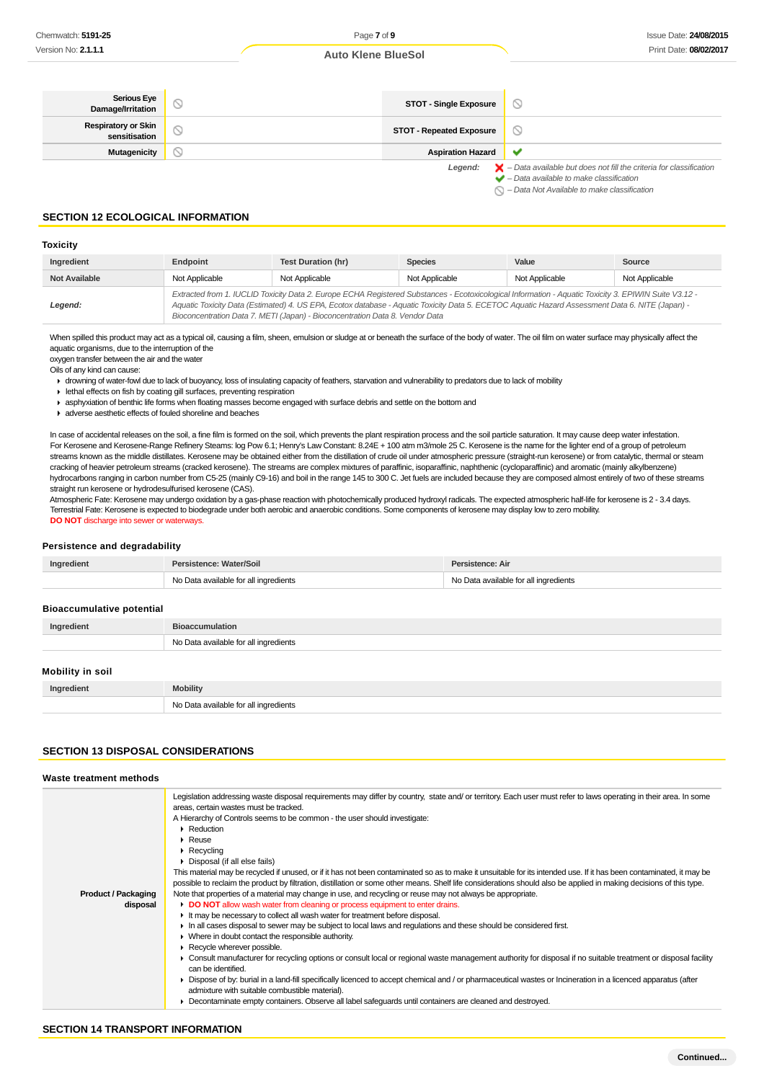| Serious Eye<br>Damage/Irritation            | <b>STOT - Single Exposure</b>   | $\circ$                                                                                                                                                   |
|---------------------------------------------|---------------------------------|-----------------------------------------------------------------------------------------------------------------------------------------------------------|
| <b>Respiratory or Skin</b><br>sensitisation | <b>STOT - Repeated Exposure</b> | $\circlearrowright$                                                                                                                                       |
| <b>Mutagenicity</b>                         | <b>Aspiration Hazard</b>        | v                                                                                                                                                         |
|                                             | Leaend:                         | $\blacktriangleright$ - Data available but does not fill the criteria for classification<br>$\blacktriangleright$ - Data available to make classification |

 $\bigcirc$  – Data Not Available to make classification

#### **SECTION 12 ECOLOGICAL INFORMATION**

#### **Toxicity**

| Ingredient           | Endpoint       | Test Duration (hr)                                                                                                                                                                                                                                                                                                                                                                       | <b>Species</b> | Value          | Source         |
|----------------------|----------------|------------------------------------------------------------------------------------------------------------------------------------------------------------------------------------------------------------------------------------------------------------------------------------------------------------------------------------------------------------------------------------------|----------------|----------------|----------------|
| <b>Not Available</b> | Not Applicable | Not Applicable                                                                                                                                                                                                                                                                                                                                                                           | Not Applicable | Not Applicable | Not Applicable |
| Legend:              |                | Extracted from 1. IUCLID Toxicity Data 2. Europe ECHA Registered Substances - Ecotoxicological Information - Aquatic Toxicity 3. EPIWIN Suite V3.12 -<br>Aquatic Toxicity Data (Estimated) 4. US EPA, Ecotox database - Aquatic Toxicity Data 5. ECETOC Aquatic Hazard Assessment Data 6. NITE (Japan) -<br>Bioconcentration Data 7. METI (Japan) - Bioconcentration Data 8. Vendor Data |                |                |                |

When spilled this product may act as a typical oil, causing a film, sheen, emulsion or sludge at or beneath the surface of the body of water. The oil film on water surface may physically affect the aquatic organisms, due to the interruption of the

oxygen transfer between the air and the water

Oils of any kind can cause:

drowning of water-fowl due to lack of buoyancy, loss of insulating capacity of feathers, starvation and vulnerability to predators due to lack of mobility

- $\blacktriangleright$  lethal effects on fish by coating gill surfaces, preventing respiration
- asphyxiation of benthic life forms when floating masses become engaged with surface debris and settle on the bottom and
- adverse aesthetic effects of fouled shoreline and beaches

In case of accidental releases on the soil, a fine film is formed on the soil, which prevents the plant respiration process and the soil particle saturation. It may cause deep water infestation. For Kerosene and Kerosene-Range Refinery Steams: log Pow 6.1; Henry's Law Constant: 8.24E + 100 atm m3/mole 25 C. Kerosene is the name for the lighter end of a group of petroleum streams known as the middle distillates. Kerosene may be obtained either from the distillation of crude oil under atmospheric pressure (straight-run kerosene) or from catalytic, thermal or steam cracking of heavier petroleum streams (cracked kerosene). The streams are complex mixtures of paraffinic, isoparaffinic, naphthenic (cycloparaffinic) and aromatic (mainly alkylbenzene) hydrocarbons ranging in carbon number from C5-25 (mainly C9-16) and boil in the range 145 to 300 C. Jet fuels are included because they are composed almost entirely of two of these streams straight run kerosene or hydrodesulfurised kerosene (CAS).

Atmospheric Fate: Kerosene may undergo oxidation by a gas-phase reaction with photochemically produced hydroxyl radicals. The expected atmospheric half-life for kerosene is 2 - 3.4 days. Terrestrial Fate: Kerosene is expected to biodegrade under both aerobic and anaerobic conditions. Some components of kerosene may display low to zero mobility. **DO NOT** discharge into sewer or waterways.

#### **Persistence and degradability**

| Ingredient | Persistence: Water/Soil               | Persistence: Air                      |  |
|------------|---------------------------------------|---------------------------------------|--|
|            | No Data available for all ingredients | No Data available for all ingredients |  |

#### **Bioaccumulative potential**

| Ingredient       | <b>Bioaccumulation</b>                |
|------------------|---------------------------------------|
|                  | No Data available for all ingredients |
| Mobility in soil |                                       |

| Ingredient | Mobility                                                |
|------------|---------------------------------------------------------|
|            | l ingredients<br>∼ו<br>$m$ inilabla to<br>$\sim$ $\sim$ |

## **SECTION 13 DISPOSAL CONSIDERATIONS**

#### **Waste treatment methods**

| Legislation addressing waste disposal requirements may differ by country, state and/or territory. Each user must refer to laws operating in their area. In some<br>areas, certain wastes must be tracked.<br>A Hierarchy of Controls seems to be common - the user should investigate:<br>$\blacktriangleright$ Reduction<br>$\triangleright$ Reuse<br>$\triangleright$ Recycling<br>• Disposal (if all else fails) |  |
|---------------------------------------------------------------------------------------------------------------------------------------------------------------------------------------------------------------------------------------------------------------------------------------------------------------------------------------------------------------------------------------------------------------------|--|
|                                                                                                                                                                                                                                                                                                                                                                                                                     |  |
|                                                                                                                                                                                                                                                                                                                                                                                                                     |  |
|                                                                                                                                                                                                                                                                                                                                                                                                                     |  |
|                                                                                                                                                                                                                                                                                                                                                                                                                     |  |
|                                                                                                                                                                                                                                                                                                                                                                                                                     |  |
| This material may be recycled if unused, or if it has not been contaminated so as to make it unsuitable for its intended use. If it has been contaminated, it may be                                                                                                                                                                                                                                                |  |
| possible to reclaim the product by filtration, distillation or some other means. Shelf life considerations should also be applied in making decisions of this type.                                                                                                                                                                                                                                                 |  |
| Note that properties of a material may change in use, and recycling or reuse may not always be appropriate.<br><b>Product / Packaging</b>                                                                                                                                                                                                                                                                           |  |
| DO NOT allow wash water from cleaning or process equipment to enter drains.<br>disposal                                                                                                                                                                                                                                                                                                                             |  |
| It may be necessary to collect all wash water for treatment before disposal.                                                                                                                                                                                                                                                                                                                                        |  |
| In all cases disposal to sewer may be subject to local laws and regulations and these should be considered first.                                                                                                                                                                                                                                                                                                   |  |
| • Where in doubt contact the responsible authority.                                                                                                                                                                                                                                                                                                                                                                 |  |
| $\blacktriangleright$ Recycle wherever possible.                                                                                                                                                                                                                                                                                                                                                                    |  |
| ► Consult manufacturer for recycling options or consult local or regional waste management authority for disposal if no suitable treatment or disposal facility<br>can be identified.                                                                                                                                                                                                                               |  |
| • Dispose of by: burial in a land-fill specifically licenced to accept chemical and / or pharmaceutical wastes or Incineration in a licenced apparatus (after<br>admixture with suitable combustible material).                                                                                                                                                                                                     |  |
| Decontaminate empty containers. Observe all label safeguards until containers are cleaned and destroyed.                                                                                                                                                                                                                                                                                                            |  |
|                                                                                                                                                                                                                                                                                                                                                                                                                     |  |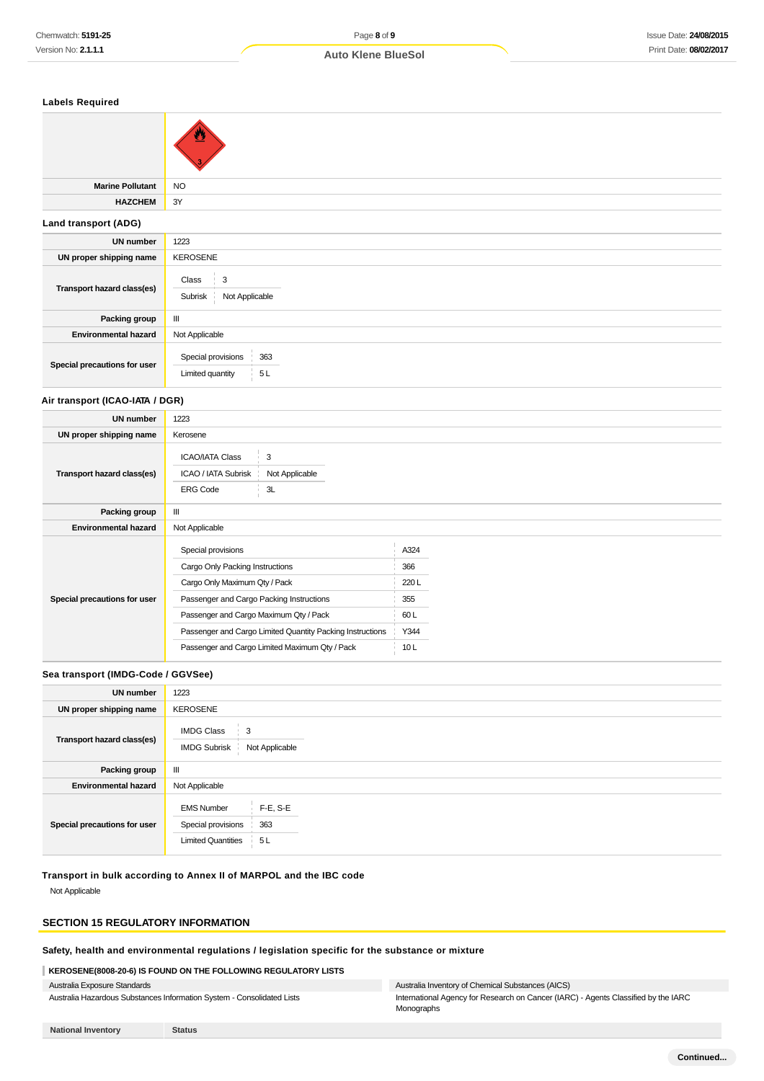| <b>Labels Required</b>          |                                                     |  |  |
|---------------------------------|-----------------------------------------------------|--|--|
|                                 |                                                     |  |  |
| <b>Marine Pollutant</b>         | <b>NO</b>                                           |  |  |
| <b>HAZCHEM</b>                  | 3Y                                                  |  |  |
| Land transport (ADG)            |                                                     |  |  |
| <b>UN number</b>                | 1223                                                |  |  |
| UN proper shipping name         | <b>KEROSENE</b>                                     |  |  |
| Transport hazard class(es)      | $\mathsf 3$<br>Class<br>Not Applicable<br>Subrisk   |  |  |
| Packing group                   | Ш                                                   |  |  |
| <b>Environmental hazard</b>     | Not Applicable                                      |  |  |
| Special precautions for user    | Special provisions<br>363<br>5L<br>Limited quantity |  |  |
| Air transport (ICAO-IATA / DGR) |                                                     |  |  |

# **UN number** 1223 **UN proper shipping name** Kerosene **Transport hazard class(es)** ICAO/IATA Class 3 ICAO / IATA Subrisk Not Applicable ERG Code 3L **Packing group** || **Environmental hazard** Not Applicable **Special precautions for user** Special provisions A324 Cargo Only Packing Instructions 366 Cargo Only Maximum Qty / Pack 220 L Passenger and Cargo Packing Instructions 355 Passenger and Cargo Maximum Qty / Pack 60 L Passenger and Cargo Limited Quantity Packing Instructions Y344 Passenger and Cargo Limited Maximum Qty / Pack 10 L

#### **Sea transport (IMDG-Code / GGVSee)**

| <b>UN number</b>             | 1223                                                                                             |  |  |
|------------------------------|--------------------------------------------------------------------------------------------------|--|--|
| UN proper shipping name      | <b>KEROSENE</b>                                                                                  |  |  |
| Transport hazard class(es)   | <b>IMDG Class</b><br>3<br><b>IMDG Subrisk</b><br>Not Applicable                                  |  |  |
| Packing group                | Ш                                                                                                |  |  |
| <b>Environmental hazard</b>  | Not Applicable                                                                                   |  |  |
| Special precautions for user | $F-E, S-E$<br><b>EMS Number</b><br>363<br>Special provisions<br><b>Limited Quantities</b><br>5 L |  |  |

### **Transport in bulk according to Annex II of MARPOL and the IBC code**

Not Applicable

# **SECTION 15 REGULATORY INFORMATION**

#### **Safety, health and environmental regulations / legislation specific for the substance or mixture**

#### **KEROSENE(8008-20-6) IS FOUND ON THE FOLLOWING REGULATORY LISTS**

Australia Exposure Standards Australia Hazardous Substances Information System - Consolidated Lists

# Australia Inventory of Chemical Substances (AICS)

International Agency for Research on Cancer (IARC) - Agents Classified by the IARC Monographs